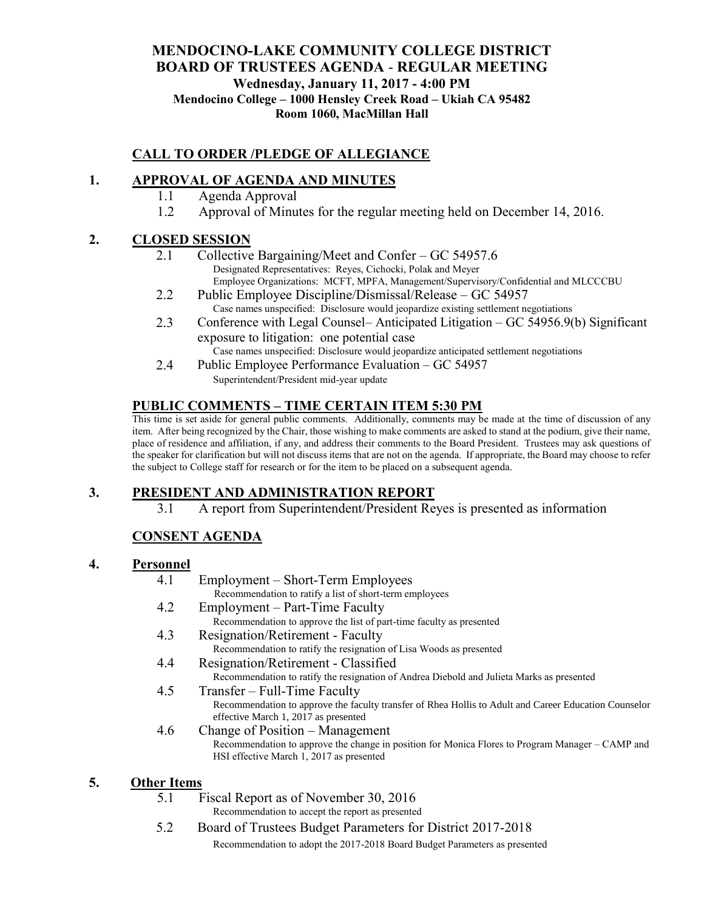### **MENDOCINO-LAKE COMMUNITY COLLEGE DISTRICT BOARD OF TRUSTEES AGENDA** - **REGULAR MEETING Wednesday, January 11, 2017 - 4:00 PM Mendocino College – 1000 Hensley Creek Road – Ukiah CA 95482 Room 1060, MacMillan Hall**

# **CALL TO ORDER /PLEDGE OF ALLEGIANCE**

# **1. APPROVAL OF AGENDA AND MINUTES**

- 1.1 Agenda Approval
- 1.2 Approval of Minutes for the regular meeting held on December 14, 2016.

#### **2. CLOSED SESSION**

- 2.1 Collective Bargaining/Meet and Confer GC 54957.6 Designated Representatives: Reyes, Cichocki, Polak and Meyer Employee Organizations: MCFT, MPFA, Management/Supervisory/Confidential and MLCCCBU
- 2.2 Public Employee Discipline/Dismissal/Release GC 54957 Case names unspecified: Disclosure would jeopardize existing settlement negotiations
- 2.3 Conference with Legal Counsel– Anticipated Litigation GC 54956.9(b) Significant exposure to litigation: one potential case

Case names unspecified: Disclosure would jeopardize anticipated settlement negotiations

2.4 Public Employee Performance Evaluation – GC 54957 Superintendent/President mid-year update

## **PUBLIC COMMENTS – TIME CERTAIN ITEM 5:30 PM**

This time is set aside for general public comments. Additionally, comments may be made at the time of discussion of any item. After being recognized by the Chair, those wishing to make comments are asked to stand at the podium, give their name, place of residence and affiliation, if any, and address their comments to the Board President. Trustees may ask questions of the speaker for clarification but will not discuss items that are not on the agenda. If appropriate, the Board may choose to refer the subject to College staff for research or for the item to be placed on a subsequent agenda.

## **3. PRESIDENT AND ADMINISTRATION REPORT**

3.1 A report from Superintendent/President Reyes is presented as information

# **CONSENT AGENDA**

#### **4. Personnel**

- 4.1 Employment Short-Term Employees Recommendation to ratify a list of short-term employees
- 4.2 Employment Part-Time Faculty Recommendation to approve the list of part-time faculty as presented
- 4.3 Resignation/Retirement Faculty Recommendation to ratify the resignation of Lisa Woods as presented
- 4.4 Resignation/Retirement Classified Recommendation to ratify the resignation of Andrea Diebold and Julieta Marks as presented
- 4.5 Transfer Full-Time Faculty Recommendation to approve the faculty transfer of Rhea Hollis to Adult and Career Education Counselor effective March 1, 2017 as presented
- 4.6 Change of Position Management Recommendation to approve the change in position for Monica Flores to Program Manager – CAMP and HSI effective March 1, 2017 as presented

## **5. Other Items**

- 5.1 Fiscal Report as of November 30, 2016
	- Recommendation to accept the report as presented
- 5.2 Board of Trustees Budget Parameters for District 2017-2018 Recommendation to adopt the 2017-2018 Board Budget Parameters as presented